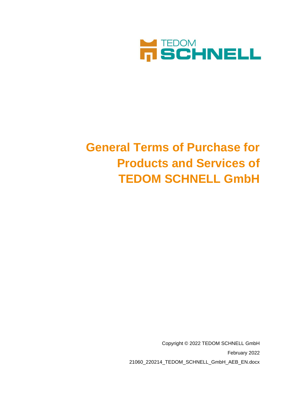

# **General Terms of Purchase for Products and Services of TEDOM SCHNELL GmbH**

Copyright © 2022 TEDOM SCHNELL GmbH February 2022 21060\_220214\_TEDOM\_SCHNELL\_GmbH\_AEB\_EN.docx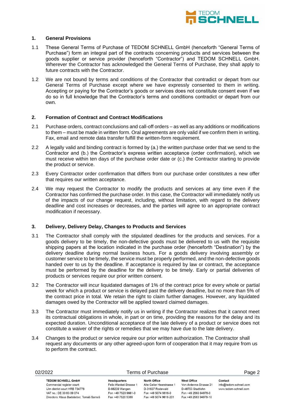

## **1. General Provisions**

- 1.1 These General Terms of Purchase of TEDOM SCHNELL GmbH (henceforth "General Terms of Purchase") form an integral part of the contracts concerning products and services between the goods supplier or service provider (henceforth "Contractor") and TEDOM SCHNELL GmbH. Wherever the Contractor has acknowledged the General Terms of Purchase, they shall apply to future contracts with the Contractor.
- 1.2 We are not bound by terms and conditions of the Contractor that contradict or depart from our General Terms of Purchase except where we have expressly consented to them in writing. Accepting or paying for the Contractor's goods or services does not constitute consent even if we do so in full knowledge that the Contractor's terms and conditions contradict or depart from our own.

# **2. Formation of Contract and Contract Modifications**

- 2.1 Purchase orders, contract conclusions and call-off orders as well as any additions or modifications to them – must be made in written form. Oral agreements are only valid if we confirm them in writing. Fax, email and remote data transfer fulfill the written-form requirement.
- 2.2 A legally valid and binding contract is formed by (a.) the written purchase order that we send to the Contractor and (b.) the Contractor's express written acceptance (order confirmation), which we must receive within ten days of the purchase order date or (c.) the Contractor starting to provide the product or service.
- 2.3 Every Contractor order confirmation that differs from our purchase order constitutes a new offer that requires our written acceptance.
- 2.4 We may request the Contractor to modify the products and services at any time even if the Contractor has confirmed the purchase order. In this case, the Contractor will immediately notify us of the impacts of our change request, including, without limitation, with regard to the delivery deadline and cost increases or decreases, and the parties will agree to an appropriate contract modification if necessary.

## **3. Delivery, Delivery Delay, Changes to Products and Services**

- 3.1 The Contractor shall comply with the stipulated deadlines for the products and services. For a goods delivery to be timely, the non-defective goods must be delivered to us with the requisite shipping papers at the location indicated in the purchase order (henceforth "Destination") by the delivery deadline during normal business hours. For a goods delivery involving assembly or customer service to be timely, the service must be properly performed, and the non-defective goods handed over to us by the deadline. If acceptance is required by law or contract, the acceptance must be performed by the deadline for the delivery to be timely. Early or partial deliveries of products or services require our prior written consent.
- 3.2 The Contractor will incur liquidated damages of 1% of the contract price for every whole or partial week for which a product or service is delayed past the delivery deadline, but no more than 5% of the contract price in total. We retain the right to claim further damages. However, any liquidated damages owed by the Contractor will be applied toward claimed damages.
- 3.3 The Contractor must immediately notify us in writing if the Contractor realizes that it cannot meet its contractual obligations in whole, in part or on time, providing the reasons for the delay and its expected duration. Unconditional acceptance of the late delivery of a product or service does not constitute a waiver of the rights or remedies that we may have due to the late delivery.
- 3.4 Changes to the product or service require our prior written authorization. The Contractor shall request any documents or any other agreed-upon form of cooperation that it may require from us to perform the contract.

|                                                         |                                                                                                                                      | Page 2                                                     |
|---------------------------------------------------------|--------------------------------------------------------------------------------------------------------------------------------------|------------------------------------------------------------|
| North Office<br>D-31637 Rodewald<br>Fon +49 5074 9618-0 | West Office<br>Von-Ardenne-Strasse 31<br>D-48703 Stadtlohn<br>Fon +49 2563 94978-0                                                   | Contact<br>info@tedom-schnell.com<br>www.tedom-schnell.com |
|                                                         | <b>Headquarters</b><br>Felix-Wankel-Strasse 1<br>D-88239 Wangen<br>Fon +49 7520 9661-0<br>Fax +49 5074 9618-201<br>Fax +49 7520 5388 | Alte Celler Heerstrasse 1<br>Fax +49 2563 94978-10         |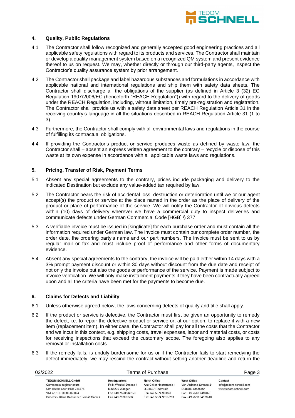

## **4. Quality, Public Regulations**

- 4.1 The Contractor shall follow recognized and generally accepted good engineering practices and all applicable safety regulations with regard to its products and services. The Contractor shall maintain or develop a quality management system based on a recognized QM system and present evidence thereof to us on request. We may, whether directly or through our third-party agents, inspect the Contractor's quality assurance system by prior arrangement.
- 4.2 The Contractor shall package and label hazardous substances and formulations in accordance with applicable national and international regulations and ship them with safety data sheets. The Contractor shall discharge all the obligations of the supplier (as defined in Article 3 (32) EC Regulation 1907/2006/EC (henceforth "REACH Regulation")) with regard to the delivery of goods under the REACH Regulation, including, without limitation, timely pre-registration and registration. The Contractor shall provide us with a safety data sheet per REACH Regulation Article 31 in the receiving country's language in all the situations described in REACH Regulation Article 31 (1 to 3).
- 4.3 Furthermore, the Contractor shall comply with all environmental laws and regulations in the course of fulfilling its contractual obligations.
- 4.4 If providing the Contractor's product or service produces waste as defined by waste law, the Contractor shall – absent an express written agreement to the contrary – recycle or dispose of this waste at its own expense in accordance with all applicable waste laws and regulations.

## **5. Pricing, Transfer of Risk, Payment Terms**

- 5.1 Absent any special agreements to the contrary, prices include packaging and delivery to the indicated Destination but exclude any value-added tax required by law.
- 5.2 The Contractor bears the risk of accidental loss, destruction or deterioration until we or our agent accept(s) the product or service at the place named in the order as the place of delivery of the product or place of performance of the service. We will notify the Contractor of obvious defects within (10) days of delivery wherever we have a commercial duty to inspect deliveries and communicate defects under German Commercial Code [HGB] § 377.
- 5.3 A verifiable invoice must be issued in [singlicate] for each purchase order and must contain all the information required under German law. The invoice must contain our complete order number, the order date, the ordering party's name and our part numbers. The invoice must be sent to us by regular mail or fax and must include proof of performance and other forms of documentary evidence.
- 5.4 Absent any special agreements to the contrary, the invoice will be paid either within 14 days with a 3% prompt payment discount or within 30 days without discount from the due date and receipt of not only the invoice but also the goods or performance of the service. Payment is made subject to invoice verification. We will only make installment payments if they have been contractually agreed upon and all the criteria have been met for the payments to become due.

## **6. Claims for Defects and Liability**

- 6.1 Unless otherwise agreed below, the laws concerning defects of quality and title shall apply.
- 6.2 If the product or service is defective, the Contractor must first be given an opportunity to remedy the defect, i.e. to repair the defective product or service or, at our option, to replace it with a new item (replacement item). In either case, the Contractor shall pay for all the costs that the Contractor and we incur in this context, e.g. shipping costs, travel expenses, labor and material costs, or costs for receiving inspections that exceed the customary scope. The foregoing also applies to any removal or installation costs.
- 6.3 If the remedy fails, is unduly burdensome for us or if the Contractor fails to start remedying the defect immediately, we may rescind the contract without setting another deadline and return the

| 02/2022                                  | Terms of Purchase      |                           |                        | Page 3                 |  |
|------------------------------------------|------------------------|---------------------------|------------------------|------------------------|--|
| <b>TEDOM SCHNELL GmbH</b>                | <b>Headquarters</b>    | <b>North Office</b>       | West Office            | Contact                |  |
| Commercial register court:               | Felix-Wankel-Strasse 1 | Alte Celler Heerstrasse 1 | Von-Ardenne-Strasse 31 | info@tedom-schnell.com |  |
| Ulm district court HRB 734778            | D-88239 Wangen         | D-31637 Rodewald          | D-48703 Stadtlohn      | www.tedom-schnell.com  |  |
| VAT no.: DE 30 83 09 074                 | Fon +49 7520 9661-0    | Fon +49 5074 9618-0       | Fon +49 2563 94978-0   |                        |  |
| Directors: Klaus Badstieber, Tomáš Sameš | Fax +49 7520 5388      | Fax +49 5074 9618-201     | Fax +49 2563 94978-10  |                        |  |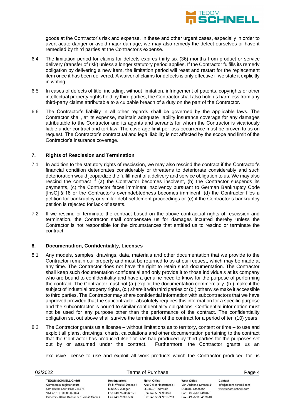

goods at the Contractor's risk and expense. In these and other urgent cases, especially in order to avert acute danger or avoid major damage, we may also remedy the defect ourselves or have it remedied by third parties at the Contractor's expense.

- 6.4 The limitation period for claims for defects expires thirty-six (36) months from product or service delivery (transfer of risk) unless a longer statutory period applies. If the Contractor fulfills its remedy obligation by delivering a new item, the limitation period will reset and restart for the replacement item once it has been delivered. A waiver of claims for defects is only effective if we state it explicitly in writing.
- 6.5 In cases of defects of title, including, without limitation, infringement of patents, copyrights or other intellectual property rights held by third parties, the Contractor shall also hold us harmless from any third-party claims attributable to a culpable breach of a duty on the part of the Contractor.
- 6.6 The Contractor's liability in all other regards shall be governed by the applicable laws. The Contractor shall, at its expense, maintain adequate liability insurance coverage for any damages attributable to the Contractor and its agents and servants for whom the Contractor is vicariously liable under contract and tort law. The coverage limit per loss occurrence must be proven to us on request. The Contractor's contractual and legal liability is not affected by the scope and limit of the Contractor's insurance coverage.

## **7. Rights of Rescission and Termination**

- 7.1 In addition to the statutory rights of rescission, we may also rescind the contract if the Contractor's financial condition deteriorates considerably or threatens to deteriorate considerably and such deterioration would jeopardize the fulfillment of a delivery and service obligation to us. We may also rescind the contract if (a) the Contractor becomes insolvent, (b) the Contractor suspends its payments, (c) the Contractor faces imminent insolvency pursuant to German Bankruptcy Code [InsO] § 18 or the Contractor's overindebtedness becomes imminent, (d) the Contractor files a petition for bankruptcy or similar debt settlement proceedings or (e) if the Contractor's bankruptcy petition is rejected for lack of assets.
- 7.2 If we rescind or terminate the contract based on the above contractual rights of rescission and termination, the Contractor shall compensate us for damages incurred thereby unless the Contractor is not responsible for the circumstances that entitled us to rescind or terminate the contract.

### **8. Documentation, Confidentiality, Licenses**

- 8.1 Any models, samples, drawings, data, materials and other documentation that we provide to the Contractor remain our property and must be returned to us at our request, which may be made at any time. The Contractor does not have the right to retain such documentation. The Contractor shall keep such documentation confidential and only provide it to those individuals at its company who are bound to confidentiality and have a genuine need to know for the purpose of performing the contract. The Contractor must not (a.) exploit the documentation commercially, (b.) make it the subject of industrial property rights, (c.) share it with third parties or (d.) otherwise make it accessible to third parties. The Contractor may share confidential information with subcontractors that we have approved provided that the subcontractor absolutely requires this information for a specific purpose and the subcontractor is bound to similar confidentiality obligations. Confidential information must not be used for any purpose other than the performance of the contract. The confidentiality obligation set out above shall survive the termination of the contract for a period of ten (10) years.
- 8.2 The Contractor grants us a license without limitations as to territory, content or time to use and exploit all plans, drawings, charts, calculations and other documentation pertaining to the contract that the Contractor has produced itself or has had produced by third parties for the purposes set out by or assumed under the contract. Furthermore, the Contractor grants us an

exclusive license to use and exploit all work products which the Contractor produced for us

| 02/2022                                  | Terms of Purchase      |                           |                        | Page 4                 |  |
|------------------------------------------|------------------------|---------------------------|------------------------|------------------------|--|
| <b>TEDOM SCHNELL GmbH</b>                | <b>Headquarters</b>    | <b>North Office</b>       | West Office            | Contact                |  |
| Commercial register court:               | Felix-Wankel-Strasse 1 | Alte Celler Heerstrasse 1 | Von-Ardenne-Strasse 31 | info@tedom-schnell.com |  |
| Ulm district court HRB 734778            | D-88239 Wangen         | D-31637 Rodewald          | D-48703 Stadtlohn      | www.tedom-schnell.com  |  |
| VAT no.: DE 30 83 09 074                 | Fon +49 7520 9661-0    | Fon +49 5074 9618-0       | Fon +49 2563 94978-0   |                        |  |
| Directors: Klaus Badstieber, Tomáš Sameš | Fax +49 7520 5388      | Fax +49 5074 9618-201     | Fax +49 2563 94978-10  |                        |  |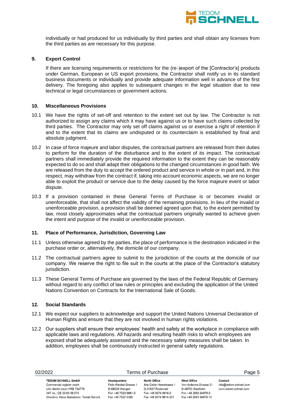

individually or had produced for us individually by third parties and shall obtain any licenses from the third parties as are necessary for this purpose.

## **9. Export Control**

If there are licensing requirements or restrictions for the (re-)export of the [Contractor's] products under German, European or US export provisions, the Contractor shall notify us in its standard business documents or individually and provide adequate information well in advance of the first delivery. The foregoing also applies to subsequent changes in the legal situation due to new technical or legal circumstances or government actions.

## **10. Miscellaneous Provisions**

- 10.1 We have the rights of set-off and retention to the extent set out by law. The Contractor is not authorized to assign any claims which it may have against us or to have such claims collected by third parties. The Contractor may only set off claims against us or exercise a right of retention if and to the extent that its claims are undisputed or its counterclaim is established by final and absolute judgment.
- 10.2 In case of force majeure and labor disputes, the contractual partners are released from their duties to perform for the duration of the disturbance and to the extent of its impact. The contractual partners shall immediately provide the required information to the extent they can be reasonably expected to do so and shall adapt their obligations to the changed circumstances in good faith. We are released from the duty to accept the ordered product and service in whole or in part and, in this respect, may withdraw from the contract if, taking into account economic aspects, we are no longer able to exploit the product or service due to the delay caused by the force majeure event or labor dispute.
- 10.3 If a provision contained in these General Terms of Purchase is or becomes invalid or unenforceable, that shall not affect the validity of the remaining provisions. In lieu of the invalid or unenforceable provision, a provision shall be deemed agreed upon that, to the extent permitted by law, most closely approximates what the contractual partners originally wanted to achieve given the intent and purpose of the invalid or unenforceable provision.

### **11. Place of Performance, Jurisdiction, Governing Law**

- 11.1 Unless otherwise agreed by the parties, the place of performance is the destination indicated in the purchase order or, alternatively, the domicile of our company.
- 11.2 The contractual partners agree to submit to the jurisdiction of the courts at the domicile of our company. We reserve the right to file suit in the courts at the place of the Contractor's statutory jurisdiction.
- 11.3 These General Terms of Purchase are governed by the laws of the Federal Republic of Germany without regard to any conflict of law rules or principles and excluding the application of the United Nations Convention on Contracts for the International Sale of Goods.

## **12. Social Standards**

- 12.1 We expect our suppliers to acknowledge and support the United Nations Universal Declaration of Human Rights and ensure that they are not involved in human rights violations.
- 12.2 Our suppliers shall ensure their employees' health and safety at the workplace in compliance with applicable laws and regulations. All hazards and resulting health risks to which employees are exposed shall be adequately assessed and the necessary safety measures shall be taken. In addition, employees shall be continuously instructed in general safety regulations.

| 02/2022                                                     | Terms of Purchase                             |                                           |                                       | Page 5                                          |
|-------------------------------------------------------------|-----------------------------------------------|-------------------------------------------|---------------------------------------|-------------------------------------------------|
| <b>TEDOM SCHNELL GmbH</b>                                   | <b>Headquarters</b><br>Felix-Wankel-Strasse 1 | North Office<br>Alte Celler Heerstrasse 1 | West Office<br>Von-Ardenne-Strasse 31 | Contact                                         |
| Commercial register court:<br>Ulm district court HRB 734778 | D-88239 Wangen                                | D-31637 Rodewald                          | D-48703 Stadtlohn                     | info@tedom-schnell.com<br>www.tedom-schnell.com |
| VAT no.: DE 30 83 09 074                                    | Fon +49 7520 9661-0                           | Fon +49 5074 9618-0                       | Fon +49 2563 94978-0                  |                                                 |
| Directors: Klaus Badstieber, Tomáš Sameš                    | Fax +49 7520 5388                             | Fax +49 5074 9618-201                     | Fax +49 2563 94978-10                 |                                                 |